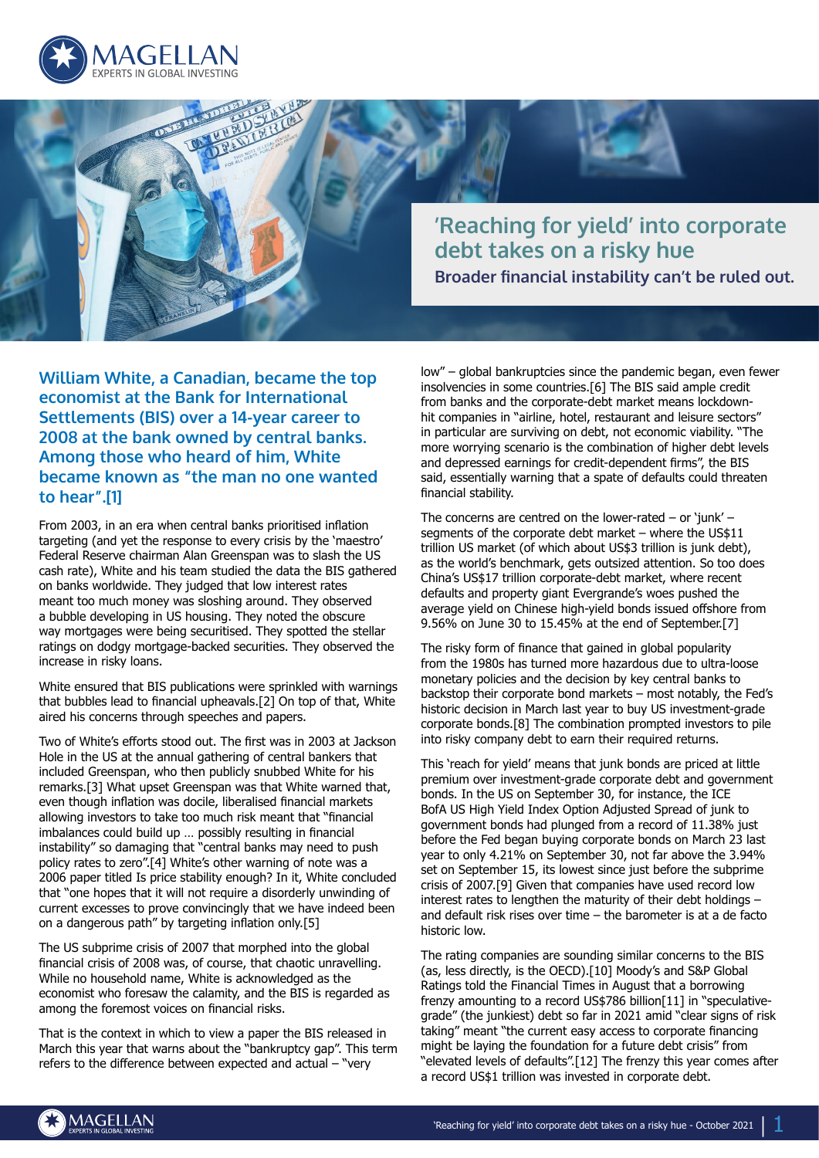



**William White, a Canadian, became the top economist at the Bank for International Settlements (BIS) over a 14-year career to 2008 at the bank owned by central banks. Among those who heard of him, White became known as "the man no one wanted to hear".[1]**

From 2003, in an era when central banks prioritised inflation targeting (and yet the response to every crisis by the 'maestro' Federal Reserve chairman Alan Greenspan was to slash the US cash rate), White and his team studied the data the BIS gathered on banks worldwide. They judged that low interest rates meant too much money was sloshing around. They observed a bubble developing in US housing. They noted the obscure way mortgages were being securitised. They spotted the stellar ratings on dodgy mortgage-backed securities. They observed the increase in risky loans.

White ensured that BIS publications were sprinkled with warnings that bubbles lead to financial upheavals.[2] On top of that, White aired his concerns through speeches and papers.

Two of White's efforts stood out. The first was in 2003 at Jackson Hole in the US at the annual gathering of central bankers that included Greenspan, who then publicly snubbed White for his remarks.[3] What upset Greenspan was that White warned that, even though inflation was docile, liberalised financial markets allowing investors to take too much risk meant that "financial imbalances could build up … possibly resulting in financial instability" so damaging that "central banks may need to push policy rates to zero".[4] White's other warning of note was a 2006 paper titled Is price stability enough? In it, White concluded that "one hopes that it will not require a disorderly unwinding of current excesses to prove convincingly that we have indeed been on a dangerous path" by targeting inflation only.[5]

The US subprime crisis of 2007 that morphed into the global financial crisis of 2008 was, of course, that chaotic unravelling. While no household name, White is acknowledged as the economist who foresaw the calamity, and the BIS is regarded as among the foremost voices on financial risks.

That is the context in which to view a paper the BIS released in March this year that warns about the "bankruptcy gap". This term refers to the difference between expected and actual – "very

low" – global bankruptcies since the pandemic began, even fewer insolvencies in some countries.[6] The BIS said ample credit from banks and the corporate-debt market means lockdownhit companies in "airline, hotel, restaurant and leisure sectors" in particular are surviving on debt, not economic viability. "The more worrying scenario is the combination of higher debt levels and depressed earnings for credit-dependent firms", the BIS said, essentially warning that a spate of defaults could threaten financial stability.

The concerns are centred on the lower-rated  $-$  or 'junk'  $$ segments of the corporate debt market – where the US\$11 trillion US market (of which about US\$3 trillion is junk debt), as the world's benchmark, gets outsized attention. So too does China's US\$17 trillion corporate-debt market, where recent defaults and property giant Evergrande's woes pushed the average yield on Chinese high-yield bonds issued offshore from 9.56% on June 30 to 15.45% at the end of September.[7]

The risky form of finance that gained in global popularity from the 1980s has turned more hazardous due to ultra-loose monetary policies and the decision by key central banks to backstop their corporate bond markets – most notably, the Fed's historic decision in March last year to buy US investment-grade corporate bonds.[8] The combination prompted investors to pile into risky company debt to earn their required returns.

This 'reach for yield' means that junk bonds are priced at little premium over investment-grade corporate debt and government bonds. In the US on September 30, for instance, the ICE BofA US High Yield Index Option Adjusted Spread of junk to government bonds had plunged from a record of 11.38% just before the Fed began buying corporate bonds on March 23 last year to only 4.21% on September 30, not far above the 3.94% set on September 15, its lowest since just before the subprime crisis of 2007.[9] Given that companies have used record low interest rates to lengthen the maturity of their debt holdings – and default risk rises over time – the barometer is at a de facto historic low.

The rating companies are sounding similar concerns to the BIS (as, less directly, is the OECD).[10] Moody's and S&P Global Ratings told the Financial Times in August that a borrowing frenzy amounting to a record US\$786 billion[11] in "speculativegrade" (the junkiest) debt so far in 2021 amid "clear signs of risk taking" meant "the current easy access to corporate financing might be laying the foundation for a future debt crisis" from "elevated levels of defaults".[12] The frenzy this year comes after a record US\$1 trillion was invested in corporate debt.

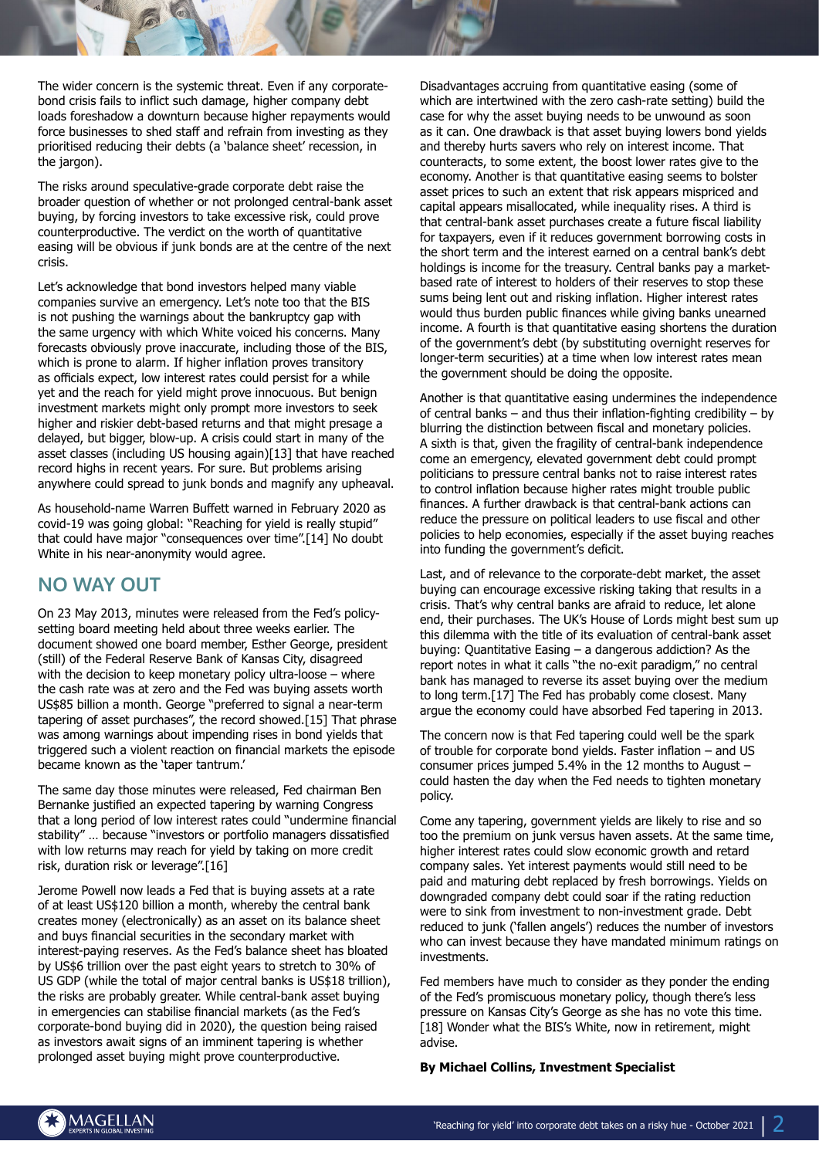The wider concern is the systemic threat. Even if any corporatebond crisis fails to inflict such damage, higher company debt loads foreshadow a downturn because higher repayments would force businesses to shed staff and refrain from investing as they prioritised reducing their debts (a 'balance sheet' recession, in the jargon).

The risks around speculative-grade corporate debt raise the broader question of whether or not prolonged central-bank asset buying, by forcing investors to take excessive risk, could prove counterproductive. The verdict on the worth of quantitative easing will be obvious if junk bonds are at the centre of the next crisis.

Let's acknowledge that bond investors helped many viable companies survive an emergency. Let's note too that the BIS is not pushing the warnings about the bankruptcy gap with the same urgency with which White voiced his concerns. Many forecasts obviously prove inaccurate, including those of the BIS, which is prone to alarm. If higher inflation proves transitory as officials expect, low interest rates could persist for a while yet and the reach for yield might prove innocuous. But benign investment markets might only prompt more investors to seek higher and riskier debt-based returns and that might presage a delayed, but bigger, blow-up. A crisis could start in many of the asset classes (including US housing again)[13] that have reached record highs in recent years. For sure. But problems arising anywhere could spread to junk bonds and magnify any upheaval.

As household-name Warren Buffett warned in February 2020 as covid-19 was going global: "Reaching for yield is really stupid" that could have major "consequences over time".[14] No doubt White in his near-anonymity would agree.

## **NO WAY OUT**

On 23 May 2013, minutes were released from the Fed's policysetting board meeting held about three weeks earlier. The document showed one board member, Esther George, president (still) of the Federal Reserve Bank of Kansas City, disagreed with the decision to keep monetary policy ultra-loose – where the cash rate was at zero and the Fed was buying assets worth US\$85 billion a month. George "preferred to signal a near-term tapering of asset purchases", the record showed.[15] That phrase was among warnings about impending rises in bond yields that triggered such a violent reaction on financial markets the episode became known as the 'taper tantrum.'

The same day those minutes were released, Fed chairman Ben Bernanke justified an expected tapering by warning Congress that a long period of low interest rates could "undermine financial stability" … because "investors or portfolio managers dissatisfied with low returns may reach for yield by taking on more credit risk, duration risk or leverage".[16]

Jerome Powell now leads a Fed that is buying assets at a rate of at least US\$120 billion a month, whereby the central bank creates money (electronically) as an asset on its balance sheet and buys financial securities in the secondary market with interest-paying reserves. As the Fed's balance sheet has bloated by US\$6 trillion over the past eight years to stretch to 30% of US GDP (while the total of major central banks is US\$18 trillion), the risks are probably greater. While central-bank asset buying in emergencies can stabilise financial markets (as the Fed's corporate-bond buying did in 2020), the question being raised as investors await signs of an imminent tapering is whether prolonged asset buying might prove counterproductive.

Disadvantages accruing from quantitative easing (some of which are intertwined with the zero cash-rate setting) build the case for why the asset buying needs to be unwound as soon as it can. One drawback is that asset buying lowers bond yields and thereby hurts savers who rely on interest income. That counteracts, to some extent, the boost lower rates give to the economy. Another is that quantitative easing seems to bolster asset prices to such an extent that risk appears mispriced and capital appears misallocated, while inequality rises. A third is that central-bank asset purchases create a future fiscal liability for taxpayers, even if it reduces government borrowing costs in the short term and the interest earned on a central bank's debt holdings is income for the treasury. Central banks pay a marketbased rate of interest to holders of their reserves to stop these sums being lent out and risking inflation. Higher interest rates would thus burden public finances while giving banks unearned income. A fourth is that quantitative easing shortens the duration of the government's debt (by substituting overnight reserves for longer-term securities) at a time when low interest rates mean the government should be doing the opposite.

Another is that quantitative easing undermines the independence of central banks – and thus their inflation-fighting credibility – by blurring the distinction between fiscal and monetary policies. A sixth is that, given the fragility of central-bank independence come an emergency, elevated government debt could prompt politicians to pressure central banks not to raise interest rates to control inflation because higher rates might trouble public finances. A further drawback is that central-bank actions can reduce the pressure on political leaders to use fiscal and other policies to help economies, especially if the asset buying reaches into funding the government's deficit.

Last, and of relevance to the corporate-debt market, the asset buying can encourage excessive risking taking that results in a crisis. That's why central banks are afraid to reduce, let alone end, their purchases. The UK's House of Lords might best sum up this dilemma with the title of its evaluation of central-bank asset buying: Quantitative Easing – a dangerous addiction? As the report notes in what it calls "the no-exit paradigm," no central bank has managed to reverse its asset buying over the medium to long term.[17] The Fed has probably come closest. Many argue the economy could have absorbed Fed tapering in 2013.

The concern now is that Fed tapering could well be the spark of trouble for corporate bond yields. Faster inflation – and US consumer prices jumped 5.4% in the 12 months to August – could hasten the day when the Fed needs to tighten monetary policy.

Come any tapering, government yields are likely to rise and so too the premium on junk versus haven assets. At the same time, higher interest rates could slow economic growth and retard company sales. Yet interest payments would still need to be paid and maturing debt replaced by fresh borrowings. Yields on downgraded company debt could soar if the rating reduction were to sink from investment to non-investment grade. Debt reduced to junk ('fallen angels') reduces the number of investors who can invest because they have mandated minimum ratings on investments.

Fed members have much to consider as they ponder the ending of the Fed's promiscuous monetary policy, though there's less pressure on Kansas City's George as she has no vote this time. [18] Wonder what the BIS's White, now in retirement, might advise.

## **By Michael Collins, Investment Specialist**